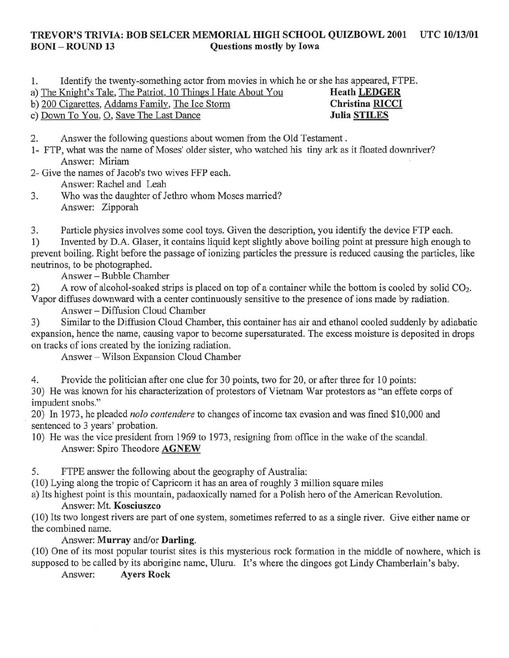#### TREVOR'S TRIVIA: BOB SELCER MEMORIAL HIGH SCHOOL QUIZBOWL 2001 UTC 10/13/01<br>BONI – ROUND 13 Ouestions mostly by Iowa Ouestions mostly by Iowa

1. Identify the twenty-something actor from movies in which he or she has appeared, FTPE.

a) The Knight's Tale, The Patriot, 10 Things I Hate About You **Heath LEDGER**<br>b) 200 Cigarettes, Addams Family, The Ice Storm **Christina RICCI** b) 200 Cigarettes, Addams Family, The Ice Storm Christina RIC<br>
c) Down To You, O, Save The Last Dance Julia STILES c) Down To You, O, Save The Last Dance

- 2. Answer the following questions about women from the Old Testament.
- 1- FTP, what was the name of Moses' older sister, who watched his tiny ark as it floated downriver? Answer: Miriam
- 2- Give the names of Jacob's two wives FFP each.

Answer: Rachel and Leah

3. Who was the daughter of Jethro whom Moses married? Answer: Zipporah

3. Particle physics involves some cool toys. Given the description, you identify the device FTP each.

1) Invented by D.A. Glaser, it contains liquid kept slightly above boiling point at pressure high enough to prevent boiling. Right before the passage of ionizing particles the pressure is reduced causing the particles, like neutrinos, to be photographed.

Answer - Bubble Chamber

2) A row of alcohol-soaked strips is placed on top of a container while the bottom is cooled by solid  $CO<sub>2</sub>$ .

Vapor diffuses downward with a center continuously sensitive to the presence of ions made by radiation. Answer - Diffusion Cloud Chamber

3) Similar to the Diffusion Cloud Chamber, this container has air and ethanol cooled suddenly by adiabatic expansion, hence the name, causing vapor to become supersaturated. The excess moisture is deposited in drops on tracks of ions created by the ionizing radiation.

Answer - Wilson Expansion Cloud Chamber

4. Provide the politician after one clue for 30 points, two for 20, or after three for 10 points:

30) He was known for his characterization of protestors of Vietnam War protestors as "an effete corps of impudent snobs."

20) In 1973, he pleaded *nolo contendere* to changes of income tax evasion and was fined \$10,000 and sentenced to 3 years' probation.

10) He was the vice president from 1969 to 1973, resigning from office in the wake of the scandal. Answer: Spiro Theodore AGNEW

5. FTPE answer the following about the geography of Australia:

(10) Lying along the tropic of Capricorn it has an area of roughly 3 million square miles

a) Its highest point is this mountain, padaoxically named for a Polish hero of the American Revolution.

# Answer: Mt. Kosciuszco

(10) Its two longest rivers are part of one system, sometimes referred to as a single river. Give either name or the combined name.

# Answer: Murray and/or Darling.

(10) One of its most popular tourist sites is this mysterious rock formation in the middle of nowhere, which is supposed to be called by its aborigine name, Uluru. It's where the dingoes got Lindy Chamberlain's baby.

Answer: Ayers Rock